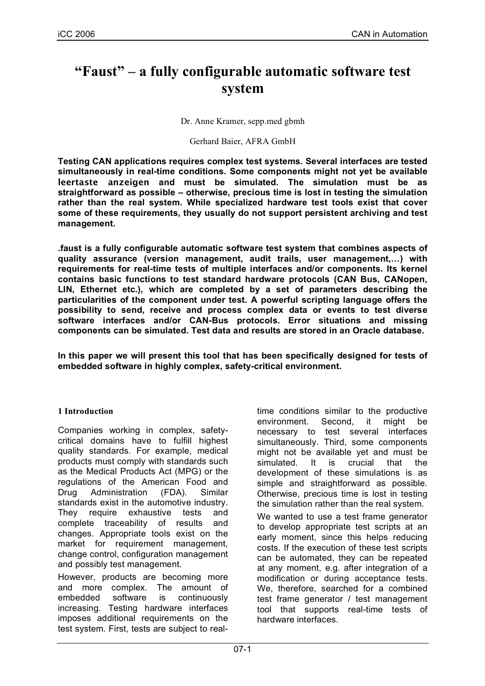# **"Faust" – a fully configurable automatic software test system**

Dr. Anne Kramer, sepp.med gbmh

#### Gerhard Baier, AFRA GmbH

**Testing CAN applications requires complex test systems. Several interfaces are tested simultaneously in real-time conditions. Some components might not yet be available leertaste anzeigen and must be simulated. The simulation must be as straightforward as possible – otherwise, precious time is lost in testing the simulation rather than the real system. While specialized hardware test tools exist that cover some of these requirements, they usually do not support persistent archiving and test management.**

**.faust is a fully configurable automatic software test system that combines aspects of quality assurance (version management, audit trails, user management,…) with requirements for real-time tests of multiple interfaces and/or components. Its kernel contains basic functions to test standard hardware protocols (CAN Bus, CANopen, LIN, Ethernet etc.), which are completed by a set of parameters describing the particularities of the component under test. A powerful scripting language offers the possibility to send, receive and process complex data or events to test diverse software interfaces and/or CAN-Bus protocols. Error situations and missing components can be simulated. Test data and results are stored in an Oracle database.**

**In this paper we will present this tool that has been specifically designed for tests of embedded software in highly complex, safety-critical environment.**

#### **1 Introduction**

Companies working in complex, safetycritical domains have to fulfill highest quality standards. For example, medical products must comply with standards such as the Medical Products Act (MPG) or the regulations of the American Food and Drug Administration (FDA). Similar standards exist in the automotive industry. They require exhaustive tests and complete traceability of results and changes. Appropriate tools exist on the market for requirement management, change control, configuration management and possibly test management.

However, products are becoming more and more complex. The amount of<br>embedded software is continuously embedded software is continuously increasing. Testing hardware interfaces imposes additional requirements on the test system. First, tests are subject to realtime conditions similar to the productive environment. Second, it might be necessary to test several interfaces simultaneously. Third, some components might not be available yet and must be simulated. It is crucial that the development of these simulations is as simple and straightforward as possible. Otherwise, precious time is lost in testing the simulation rather than the real system.

We wanted to use a test frame generator to develop appropriate test scripts at an early moment, since this helps reducing costs. If the execution of these test scripts can be automated, they can be repeated at any moment, e.g. after integration of a modification or during acceptance tests. We, therefore, searched for a combined test frame generator / test management tool that supports real-time tests of hardware interfaces.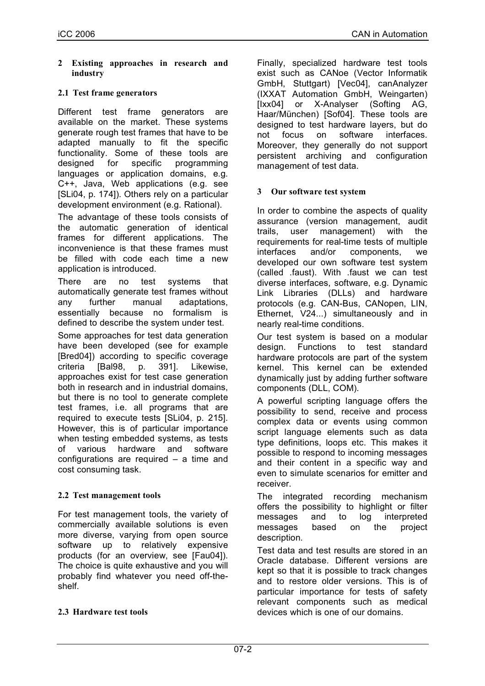**2 Existing approaches in research and industry**

#### **2.1 Test frame generators**

Different test frame generators are available on the market. These systems generate rough test frames that have to be adapted manually to fit the specific functionality. Some of these tools are designed for specific programming languages or application domains, e.g. C++, Java, Web applications (e.g. see [SLi04, p. 174]). Others rely on a particular development environment (e.g. Rational).

The advantage of these tools consists of the automatic generation of identical frames for different applications. The inconvenience is that these frames must be filled with code each time a new application is introduced.

There are no test systems that automatically generate test frames without any further manual adaptations, essentially because no formalism is defined to describe the system under test.

Some approaches for test data generation have been developed (see for example [Bred04]) according to specific coverage criteria [Bal98, p. 391]. Likewise, approaches exist for test case generation both in research and in industrial domains, but there is no tool to generate complete test frames, i.e. all programs that are required to execute tests [SLi04, p. 215]. However, this is of particular importance when testing embedded systems, as tests of various hardware and software configurations are required – a time and cost consuming task.

#### **2.2 Test management tools**

For test management tools, the variety of commercially available solutions is even more diverse, varying from open source software up to relatively expensive products (for an overview, see [Fau04]). The choice is quite exhaustive and you will probably find whatever you need off-theshelf.

#### **2.3 Hardware test tools**

Finally, specialized hardware test tools exist such as CANoe (Vector Informatik GmbH, Stuttgart) [Vec04], canAnalyzer (IXXAT Automation GmbH, Weingarten) [Ixx04] or X-Analyser (Softing AG, Haar/München) [Sof04]. These tools are designed to test hardware layers, but do not focus on software interfaces. Moreover, they generally do not support persistent archiving and configuration management of test data.

#### **3 Our software test system**

In order to combine the aspects of quality assurance (version management, audit trails, user management) with the requirements for real-time tests of multiple interfaces and/or components, we developed our own software test system (called .faust). With .faust we can test diverse interfaces, software, e.g. Dynamic Link Libraries (DLLs) and hardware protocols (e.g. CAN-Bus, CANopen, LIN, Ethernet, V24...) simultaneously and in nearly real-time conditions.

Our test system is based on a modular design. Functions to test standard hardware protocols are part of the system kernel. This kernel can be extended dynamically just by adding further software components (DLL, COM).

A powerful scripting language offers the possibility to send, receive and process complex data or events using common script language elements such as data type definitions, loops etc. This makes it possible to respond to incoming messages and their content in a specific way and even to simulate scenarios for emitter and receiver.

The integrated recording mechanism offers the possibility to highlight or filter messages and to log interpreted messages based on the project description.

Test data and test results are stored in an Oracle database. Different versions are kept so that it is possible to track changes and to restore older versions. This is of particular importance for tests of safety relevant components such as medical devices which is one of our domains.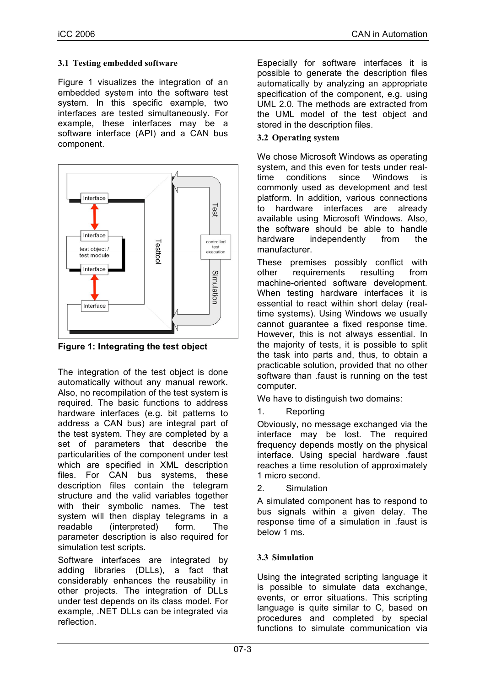## **3.1 Testing embedded software**

Figure 1 visualizes the integration of an embedded system into the software test system. In this specific example, two interfaces are tested simultaneously. For example, these interfaces may be a software interface (API) and a CAN bus component.



**Figure 1: Integrating the test object**

The integration of the test object is done automatically without any manual rework. Also, no recompilation of the test system is required. The basic functions to address hardware interfaces (e.g. bit patterns to address a CAN bus) are integral part of the test system. They are completed by a set of parameters that describe the particularities of the component under test which are specified in XML description files. For CAN bus systems, these description files contain the telegram structure and the valid variables together with their symbolic names. The test system will then display telegrams in a readable (interpreted) form. The parameter description is also required for simulation test scripts.

Software interfaces are integrated by adding libraries (DLLs), a fact that considerably enhances the reusability in other projects. The integration of DLLs under test depends on its class model. For example, .NET DLLs can be integrated via reflection.

Especially for software interfaces it is possible to generate the description files automatically by analyzing an appropriate specification of the component, e.g. using UML 2.0. The methods are extracted from the UML model of the test object and stored in the description files.

## **3.2 Operating system**

We chose Microsoft Windows as operating system, and this even for tests under realtime conditions since Windows is commonly used as development and test platform. In addition, various connections to hardware interfaces are already available using Microsoft Windows. Also, the software should be able to handle hardware independently from the manufacturer.

These premises possibly conflict with other requirements resulting from machine-oriented software development. When testing hardware interfaces it is essential to react within short delay (realtime systems). Using Windows we usually cannot guarantee a fixed response time. However, this is not always essential. In the majority of tests, it is possible to split the task into parts and, thus, to obtain a practicable solution, provided that no other software than .faust is running on the test computer.

We have to distinguish two domains:

1. Reporting

Obviously, no message exchanged via the interface may be lost. The required frequency depends mostly on the physical interface. Using special hardware .faust reaches a time resolution of approximately 1 micro second.

2. Simulation

A simulated component has to respond to bus signals within a given delay. The response time of a simulation in .faust is below 1 ms.

# **3.3 Simulation**

Using the integrated scripting language it is possible to simulate data exchange, events, or error situations. This scripting language is quite similar to C, based on procedures and completed by special functions to simulate communication via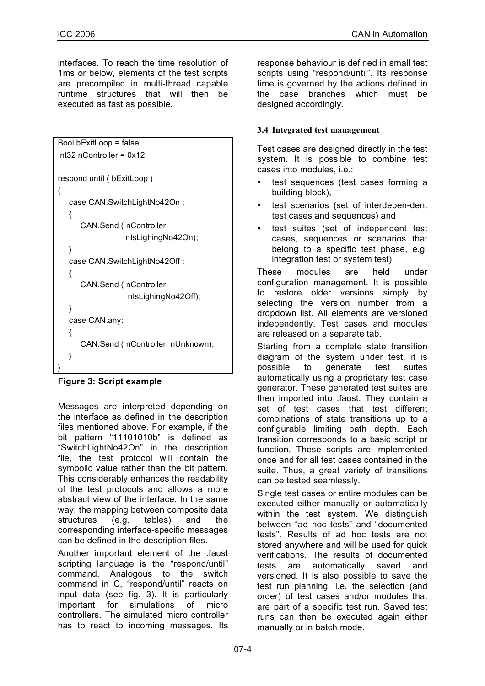interfaces. To reach the time resolution of 1ms or below, elements of the test scripts are precompiled in multi-thread capable runtime structures that will then be executed as fast as possible.

```
Bool bExitLoop = false;
Int32 nController = 0x12;
respond until ( bExitLoop )
{
   case CAN.SwitchLightNo42On :
   {
      CAN.Send ( nController,
                  nIsLighingNo42On);
  }
   case CAN.SwitchLightNo42Off :
  {
      CAN.Send ( nController,
                  nIsLighingNo42Off);
  }
   case CAN.any:
  {
      CAN.Send ( nController, nUnknown);
  }
}
```
# **Figure 3: Script example**

Messages are interpreted depending on the interface as defined in the description files mentioned above. For example, if the bit pattern "11101010b" is defined as "SwitchLightNo42On" in the description file, the test protocol will contain the symbolic value rather than the bit pattern. This considerably enhances the readability of the test protocols and allows a more abstract view of the interface. In the same way, the mapping between composite data structures (e.g. tables) and the corresponding interface-specific messages can be defined in the description files.

Another important element of the .faust scripting language is the "respond/until" command. Analogous to the switch command in C, "respond/until" reacts on input data (see fig. 3). It is particularly important for simulations of micro controllers. The simulated micro controller has to react to incoming messages. Its

response behaviour is defined in small test scripts using "respond/until". Its response time is governed by the actions defined in the case branches which must be designed accordingly.

# **3.4 Integrated test management**

Test cases are designed directly in the test system. It is possible to combine test cases into modules, i.e.:

- test sequences (test cases forming a building block),
- test scenarios (set of interdepen-dent test cases and sequences) and
- test suites (set of independent test cases, sequences or scenarios that belong to a specific test phase, e.g. integration test or system test).

These modules are held under configuration management. It is possible to restore older versions simply by selecting the version number from a dropdown list. All elements are versioned independently. Test cases and modules are released on a separate tab.

Starting from a complete state transition diagram of the system under test, it is possible to generate test suites automatically using a proprietary test case generator. These generated test suites are then imported into .faust. They contain a set of test cases that test different combinations of state transitions up to a configurable limiting path depth. Each transition corresponds to a basic script or function. These scripts are implemented once and for all test cases contained in the suite. Thus, a great variety of transitions can be tested seamlessly.

Single test cases or entire modules can be executed either manually or automatically within the test system. We distinguish between "ad hoc tests" and "documented tests". Results of ad hoc tests are not stored anywhere and will be used for quick verifications. The results of documented tests are automatically saved and versioned. It is also possible to save the test run planning, i.e. the selection (and order) of test cases and/or modules that are part of a specific test run. Saved test runs can then be executed again either manually or in batch mode.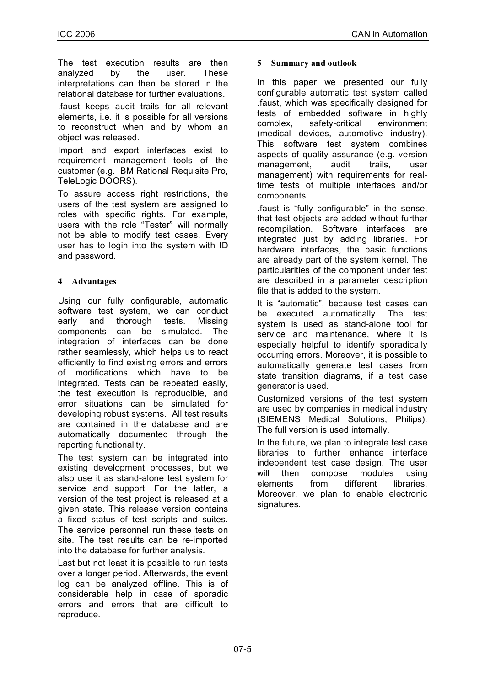The test execution results are then analyzed by the user. These interpretations can then be stored in the relational database for further evaluations.

.faust keeps audit trails for all relevant elements, i.e. it is possible for all versions to reconstruct when and by whom an object was released.

Import and export interfaces exist to requirement management tools of the customer (e.g. IBM Rational Requisite Pro, TeleLogic DOORS).

To assure access right restrictions, the users of the test system are assigned to roles with specific rights. For example, users with the role "Tester" will normally not be able to modify test cases. Every user has to login into the system with ID and password.

# **4 Advantages**

Using our fully configurable, automatic software test system, we can conduct early and thorough tests. Missing components can be simulated. The integration of interfaces can be done rather seamlessly, which helps us to react efficiently to find existing errors and errors of modifications which have to be integrated. Tests can be repeated easily, the test execution is reproducible, and error situations can be simulated for developing robust systems. All test results are contained in the database and are automatically documented through the reporting functionality.

The test system can be integrated into existing development processes, but we also use it as stand-alone test system for service and support. For the latter, a version of the test project is released at a given state. This release version contains a fixed status of test scripts and suites. The service personnel run these tests on site. The test results can be re-imported into the database for further analysis.

Last but not least it is possible to run tests over a longer period. Afterwards, the event log can be analyzed offline. This is of considerable help in case of sporadic errors and errors that are difficult to reproduce.

#### **5 Summary and outlook**

In this paper we presented our fully configurable automatic test system called .faust, which was specifically designed for tests of embedded software in highly complex, safety-critical environment (medical devices, automotive industry). This software test system combines aspects of quality assurance (e.g. version management, audit trails, user management) with requirements for realtime tests of multiple interfaces and/or components.

.faust is "fully configurable" in the sense, that test objects are added without further recompilation. Software interfaces are integrated just by adding libraries. For hardware interfaces, the basic functions are already part of the system kernel. The particularities of the component under test are described in a parameter description file that is added to the system.

It is "automatic", because test cases can be executed automatically. The test system is used as stand-alone tool for service and maintenance, where it is especially helpful to identify sporadically occurring errors. Moreover, it is possible to automatically generate test cases from state transition diagrams, if a test case generator is used.

Customized versions of the test system are used by companies in medical industry (SIEMENS Medical Solutions, Philips). The full version is used internally.

In the future, we plan to integrate test case libraries to further enhance interface independent test case design. The user will then compose modules using elements from different libraries. Moreover, we plan to enable electronic signatures.